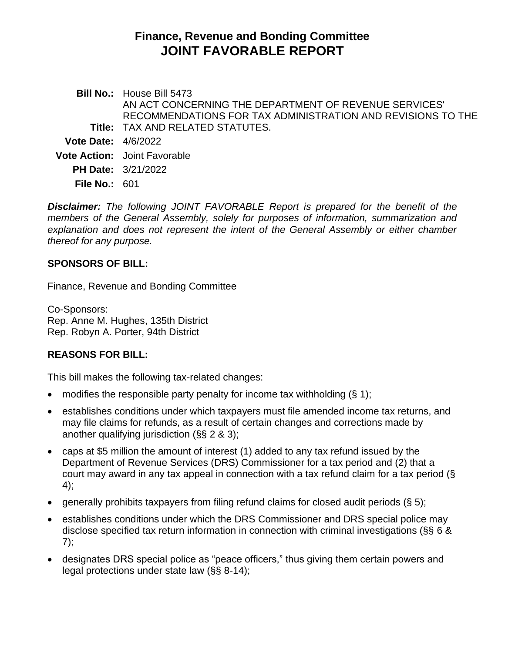# **Finance, Revenue and Bonding Committee JOINT FAVORABLE REPORT**

**Bill No.:** House Bill 5473 **Title:** TAX AND RELATED STATUTES. AN ACT CONCERNING THE DEPARTMENT OF REVENUE SERVICES' RECOMMENDATIONS FOR TAX ADMINISTRATION AND REVISIONS TO THE **Vote Date:** 4/6/2022 **Vote Action:** Joint Favorable **PH Date:** 3/21/2022 **File No.:** 601

*Disclaimer: The following JOINT FAVORABLE Report is prepared for the benefit of the members of the General Assembly, solely for purposes of information, summarization and explanation and does not represent the intent of the General Assembly or either chamber thereof for any purpose.*

### **SPONSORS OF BILL:**

Finance, Revenue and Bonding Committee

Co-Sponsors: Rep. Anne M. Hughes, 135th District Rep. Robyn A. Porter, 94th District

# **REASONS FOR BILL:**

This bill makes the following tax-related changes:

- modifies the responsible party penalty for income tax withholding  $(\S 1)$ ;
- establishes conditions under which taxpayers must file amended income tax returns, and may file claims for refunds, as a result of certain changes and corrections made by another qualifying jurisdiction (§§ 2 & 3);
- caps at \$5 million the amount of interest (1) added to any tax refund issued by the Department of Revenue Services (DRS) Commissioner for a tax period and (2) that a court may award in any tax appeal in connection with a tax refund claim for a tax period (§ 4);
- generally prohibits taxpayers from filing refund claims for closed audit periods  $(\xi 5)$ ;
- establishes conditions under which the DRS Commissioner and DRS special police may disclose specified tax return information in connection with criminal investigations (§§ 6 & 7);
- designates DRS special police as "peace officers," thus giving them certain powers and legal protections under state law (§§ 8-14);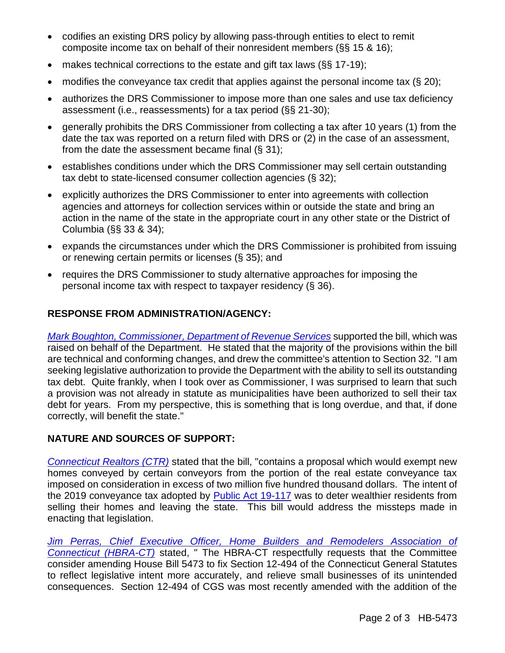- codifies an existing DRS policy by allowing pass-through entities to elect to remit composite income tax on behalf of their nonresident members (§§ 15 & 16);
- makes technical corrections to the estate and gift tax laws (§§ 17-19);
- modifies the conveyance tax credit that applies against the personal income tax  $(\S 20)$ ;
- authorizes the DRS Commissioner to impose more than one sales and use tax deficiency assessment (i.e., reassessments) for a tax period (§§ 21-30);
- generally prohibits the DRS Commissioner from collecting a tax after 10 years (1) from the date the tax was reported on a return filed with DRS or (2) in the case of an assessment, from the date the assessment became final  $(\S 31)$ ;
- establishes conditions under which the DRS Commissioner may sell certain outstanding tax debt to state-licensed consumer collection agencies (§ 32);
- explicitly authorizes the DRS Commissioner to enter into agreements with collection agencies and attorneys for collection services within or outside the state and bring an action in the name of the state in the appropriate court in any other state or the District of Columbia (§§ 33 & 34);
- expands the circumstances under which the DRS Commissioner is prohibited from issuing or renewing certain permits or licenses (§ 35); and
- requires the DRS Commissioner to study alternative approaches for imposing the personal income tax with respect to taxpayer residency (§ 36).

# **RESPONSE FROM ADMINISTRATION/AGENCY:**

*[Mark Boughton, Commissioner, Department of Revenue Services](https://cga.ct.gov/2022/FINdata/Tmy/2022HB-05473-R000321-Boughton,%20Mark,%20Commissioner,%20Department%20of%20Revenue%20Services%20-%20Support-TMY.PDF)* supported the bill, which was raised on behalf of the Department. He stated that the majority of the provisions within the bill are technical and conforming changes, and drew the committee's attention to Section 32. "I am seeking legislative authorization to provide the Department with the ability to sell its outstanding tax debt. Quite frankly, when I took over as Commissioner, I was surprised to learn that such a provision was not already in statute as municipalities have been authorized to sell their tax debt for years. From my perspective, this is something that is long overdue, and that, if done correctly, will benefit the state."

# **NATURE AND SOURCES OF SUPPORT:**

*[Connecticut Realtors \(CTR\)](https://cga.ct.gov/2022/FINdata/Tmy/2022HB-05473-R000321-Connecticut%20Realtors%20-%20Support-TMY.PDF)* stated that the bill, "contains a proposal which would exempt new homes conveyed by certain conveyors from the portion of the real estate conveyance tax imposed on consideration in excess of two million five hundred thousand dollars. The intent of the 2019 conveyance tax adopted by [Public Act 19-117](https://cga.ct.gov/asp/cgabillstatus/cgabillstatus.asp?selBillType=Public+Act&which_year=2019&bill_num=117) was to deter wealthier residents from selling their homes and leaving the state. This bill would address the missteps made in enacting that legislation.

*[Jim Perras, Chief Executive Officer, Home Builders and Remodelers Association of](https://cga.ct.gov/2022/FINdata/Tmy/2022HB-05473-R000321-Perras,%20Jim,%20Chief%20Executive%20Officer,%20Home%20Builders%20and%20Remodelers%20Association%20of%20Connecticut%20-%20Support-TMY.PDF)  [Connecticut \(HBRA-CT\)](https://cga.ct.gov/2022/FINdata/Tmy/2022HB-05473-R000321-Perras,%20Jim,%20Chief%20Executive%20Officer,%20Home%20Builders%20and%20Remodelers%20Association%20of%20Connecticut%20-%20Support-TMY.PDF)* stated, " The HBRA-CT respectfully requests that the Committee consider amending House Bill 5473 to fix Section 12-494 of the Connecticut General Statutes to reflect legislative intent more accurately, and relieve small businesses of its unintended consequences. Section 12-494 of CGS was most recently amended with the addition of the